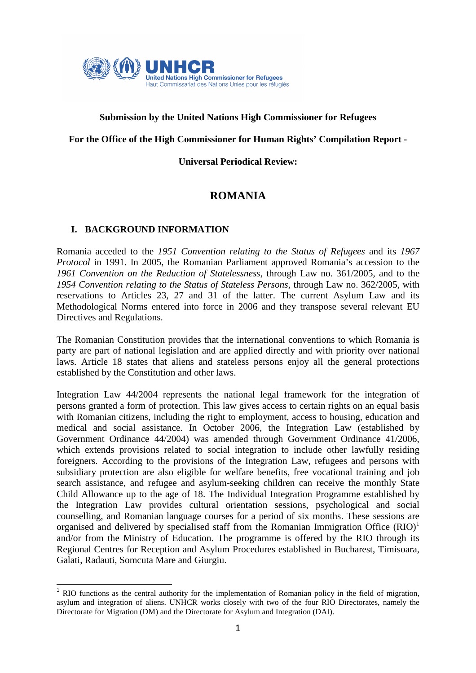

# **Submission by the United Nations High Commissioner for Refugees**

### **For the Office of the High Commissioner for Human Rights' Compilation Report -**

#### **Universal Periodical Review:**

# **ROMANIA**

#### **I. BACKGROUND INFORMATION**

l

Romania acceded to the *1951 Convention relating to the Status of Refugees* and its *1967 Protocol* in 1991. In 2005, the Romanian Parliament approved Romania's accession to the *1961 Convention on the Reduction of Statelessness*, through Law no. 361/2005, and to the *1954 Convention relating to the Status of Stateless Persons*, through Law no. 362/2005, with reservations to Articles 23, 27 and 31 of the latter. The current Asylum Law and its Methodological Norms entered into force in 2006 and they transpose several relevant EU Directives and Regulations.

The Romanian Constitution provides that the international conventions to which Romania is party are part of national legislation and are applied directly and with priority over national laws. Article 18 states that aliens and stateless persons enjoy all the general protections established by the Constitution and other laws.

Integration Law 44/2004 represents the national legal framework for the integration of persons granted a form of protection. This law gives access to certain rights on an equal basis with Romanian citizens, including the right to employment, access to housing, education and medical and social assistance. In October 2006, the Integration Law (established by Government Ordinance 44/2004) was amended through Government Ordinance 41/2006, which extends provisions related to social integration to include other lawfully residing foreigners. According to the provisions of the Integration Law, refugees and persons with subsidiary protection are also eligible for welfare benefits, free vocational training and job search assistance, and refugee and asylum-seeking children can receive the monthly State Child Allowance up to the age of 18. The Individual Integration Programme established by the Integration Law provides cultural orientation sessions, psychological and social counselling, and Romanian language courses for a period of six months. These sessions are organised and delivered by specialised staff from the Romanian Immigration Office  $(RIO)^1$ and/or from the Ministry of Education. The programme is offered by the RIO through its Regional Centres for Reception and Asylum Procedures established in Bucharest, Timisoara, Galati, Radauti, Somcuta Mare and Giurgiu.

<sup>&</sup>lt;sup>1</sup> RIO functions as the central authority for the implementation of Romanian policy in the field of migration, asylum and integration of aliens. UNHCR works closely with two of the four RIO Directorates, namely the Directorate for Migration (DM) and the Directorate for Asylum and Integration (DAI).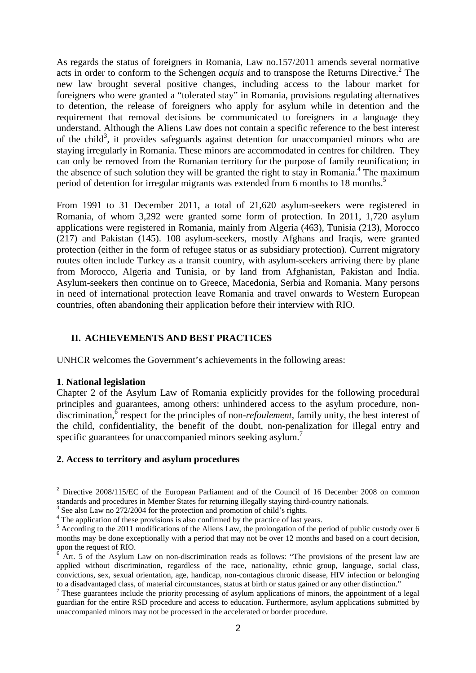As regards the status of foreigners in Romania, Law no.157/2011 amends several normative acts in order to conform to the Schengen *acquis* and to transpose the Returns Directive.<sup>2</sup> The new law brought several positive changes, including access to the labour market for foreigners who were granted a "tolerated stay" in Romania, provisions regulating alternatives to detention, the release of foreigners who apply for asylum while in detention and the requirement that removal decisions be communicated to foreigners in a language they understand. Although the Aliens Law does not contain a specific reference to the best interest of the child<sup>3</sup>, it provides safeguards against detention for unaccompanied minors who are staying irregularly in Romania. These minors are accommodated in centres for children. They can only be removed from the Romanian territory for the purpose of family reunification; in the absence of such solution they will be granted the right to stay in Romania.<sup>4</sup> The maximum period of detention for irregular migrants was extended from 6 months to 18 months.<sup>5</sup>

From 1991 to 31 December 2011, a total of 21,620 asylum-seekers were registered in Romania, of whom 3,292 were granted some form of protection. In 2011, 1,720 asylum applications were registered in Romania, mainly from Algeria (463), Tunisia (213), Morocco (217) and Pakistan (145). 108 asylum-seekers, mostly Afghans and Iraqis, were granted protection (either in the form of refugee status or as subsidiary protection). Current migratory routes often include Turkey as a transit country, with asylum-seekers arriving there by plane from Morocco, Algeria and Tunisia, or by land from Afghanistan, Pakistan and India. Asylum-seekers then continue on to Greece, Macedonia, Serbia and Romania. Many persons in need of international protection leave Romania and travel onwards to Western European countries, often abandoning their application before their interview with RIO.

### **II. ACHIEVEMENTS AND BEST PRACTICES**

UNHCR welcomes the Government's achievements in the following areas:

#### **1**. **National legislation**

l

Chapter 2 of the Asylum Law of Romania explicitly provides for the following procedural principles and guarantees, among others: unhindered access to the asylum procedure, nondiscrimination,  $\delta$  respect for the principles of non-*refoulement*, family unity, the best interest of the child, confidentiality, the benefit of the doubt, non-penalization for illegal entry and specific guarantees for unaccompanied minors seeking asylum.<sup>7</sup>

#### **2. Access to territory and asylum procedures**

<sup>&</sup>lt;sup>2</sup> Directive 2008/115/EC of the European Parliament and of the Council of 16 December 2008 on common standards and procedures in Member States for returning illegally staying third-country nationals.

<sup>3</sup> See also Law no 272/2004 for the protection and promotion of child's rights.

<sup>&</sup>lt;sup>4</sup> The application of these provisions is also confirmed by the practice of last years.

<sup>&</sup>lt;sup>5</sup> According to the 2011 modifications of the Aliens Law, the prolongation of the period of public custody over 6 months may be done exceptionally with a period that may not be over 12 months and based on a court decision, upon the request of RIO.<br> $6 \text{ At } 5$  of the Asylum

Art. 5 of the Asylum Law on non-discrimination reads as follows: "The provisions of the present law are applied without discrimination, regardless of the race, nationality, ethnic group, language, social class, convictions, sex, sexual orientation, age, handicap, non-contagious chronic disease, HIV infection or belonging to a disadvantaged class, of material circumstances, status at birth or status gained or any other distinction."

 $<sup>7</sup>$  These guarantees include the priority processing of asylum applications of minors, the appointment of a legal</sup> guardian for the entire RSD procedure and access to education. Furthermore, asylum applications submitted by unaccompanied minors may not be processed in the accelerated or border procedure.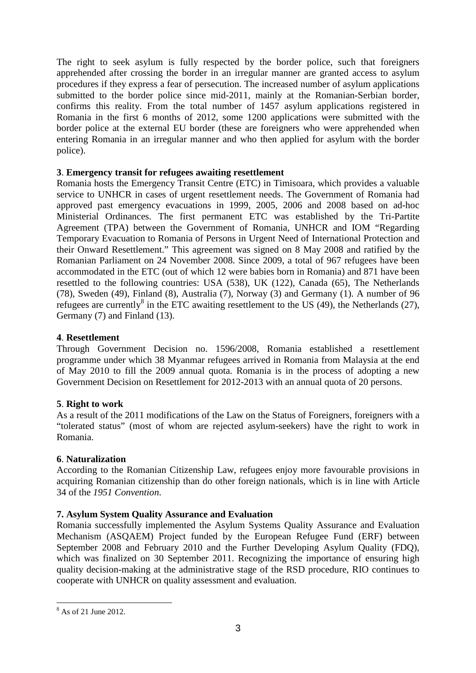The right to seek asylum is fully respected by the border police, such that foreigners apprehended after crossing the border in an irregular manner are granted access to asylum procedures if they express a fear of persecution. The increased number of asylum applications submitted to the border police since mid-2011, mainly at the Romanian-Serbian border, confirms this reality. From the total number of 1457 asylum applications registered in Romania in the first 6 months of 2012, some 1200 applications were submitted with the border police at the external EU border (these are foreigners who were apprehended when entering Romania in an irregular manner and who then applied for asylum with the border police).

### **3**. **Emergency transit for refugees awaiting resettlement**

Romania hosts the Emergency Transit Centre (ETC) in Timisoara, which provides a valuable service to UNHCR in cases of urgent resettlement needs. The Government of Romania had approved past emergency evacuations in 1999, 2005, 2006 and 2008 based on ad-hoc Ministerial Ordinances. The first permanent ETC was established by the Tri-Partite Agreement (TPA) between the Government of Romania, UNHCR and IOM "Regarding Temporary Evacuation to Romania of Persons in Urgent Need of International Protection and their Onward Resettlement." This agreement was signed on 8 May 2008 and ratified by the Romanian Parliament on 24 November 2008. Since 2009, a total of 967 refugees have been accommodated in the ETC (out of which 12 were babies born in Romania) and 871 have been resettled to the following countries: USA (538), UK (122), Canada (65), The Netherlands (78), Sweden (49), Finland (8), Australia (7), Norway (3) and Germany (1). A number of 96 refugees are currently<sup>8</sup> in the ETC awaiting resettlement to the US (49), the Netherlands (27), Germany (7) and Finland (13).

### **4**. **Resettlement**

Through Government Decision no. 1596/2008, Romania established a resettlement programme under which 38 Myanmar refugees arrived in Romania from Malaysia at the end of May 2010 to fill the 2009 annual quota. Romania is in the process of adopting a new Government Decision on Resettlement for 2012-2013 with an annual quota of 20 persons.

#### **5**. **Right to work**

As a result of the 2011 modifications of the Law on the Status of Foreigners, foreigners with a "tolerated status" (most of whom are rejected asylum-seekers) have the right to work in Romania.

#### **6**. **Naturalization**

According to the Romanian Citizenship Law, refugees enjoy more favourable provisions in acquiring Romanian citizenship than do other foreign nationals, which is in line with Article 34 of the *1951 Convention*.

# **7. Asylum System Quality Assurance and Evaluation**

Romania successfully implemented the Asylum Systems Quality Assurance and Evaluation Mechanism (ASQAEM) Project funded by the European Refugee Fund (ERF) between September 2008 and February 2010 and the Further Developing Asylum Quality (FDO), which was finalized on 30 September 2011. Recognizing the importance of ensuring high quality decision-making at the administrative stage of the RSD procedure, RIO continues to cooperate with UNHCR on quality assessment and evaluation.

l

<sup>8</sup> As of 21 June 2012.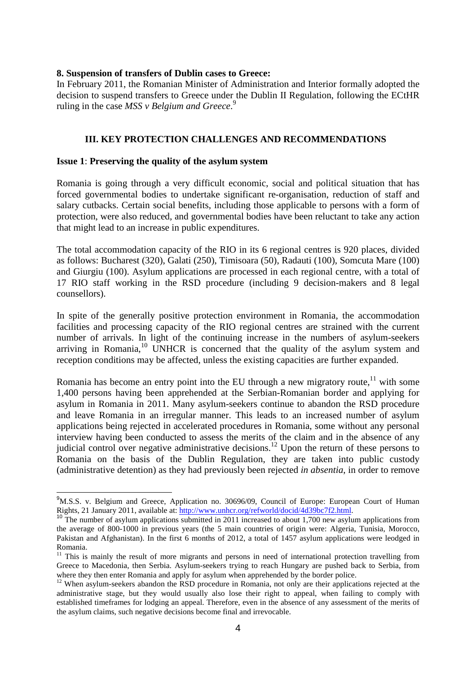#### **8. Suspension of transfers of Dublin cases to Greece:**

In February 2011, the Romanian Minister of Administration and Interior formally adopted the decision to suspend transfers to Greece under the Dublin II Regulation, following the ECtHR ruling in the case *MSS v Belgium and Greece*. 9

### **III. KEY PROTECTION CHALLENGES AND RECOMMENDATIONS**

#### **Issue 1**: **Preserving the quality of the asylum system**

l

Romania is going through a very difficult economic, social and political situation that has forced governmental bodies to undertake significant re-organisation, reduction of staff and salary cutbacks. Certain social benefits, including those applicable to persons with a form of protection, were also reduced, and governmental bodies have been reluctant to take any action that might lead to an increase in public expenditures.

The total accommodation capacity of the RIO in its 6 regional centres is 920 places, divided as follows: Bucharest (320), Galati (250), Timisoara (50), Radauti (100), Somcuta Mare (100) and Giurgiu (100). Asylum applications are processed in each regional centre, with a total of 17 RIO staff working in the RSD procedure (including 9 decision-makers and 8 legal counsellors).

In spite of the generally positive protection environment in Romania, the accommodation facilities and processing capacity of the RIO regional centres are strained with the current number of arrivals. In light of the continuing increase in the numbers of asylum-seekers arriving in Romania,  $10$  UNHCR is concerned that the quality of the asylum system and reception conditions may be affected, unless the existing capacities are further expanded.

Romania has become an entry point into the EU through a new migratory route, $11$  with some 1,400 persons having been apprehended at the Serbian-Romanian border and applying for asylum in Romania in 2011. Many asylum-seekers continue to abandon the RSD procedure and leave Romania in an irregular manner. This leads to an increased number of asylum applications being rejected in accelerated procedures in Romania, some without any personal interview having been conducted to assess the merits of the claim and in the absence of any judicial control over negative administrative decisions.<sup>12</sup> Upon the return of these persons to Romania on the basis of the Dublin Regulation, they are taken into public custody (administrative detention) as they had previously been rejected *in absentia*, in order to remove

<sup>&</sup>lt;sup>9</sup>M.S.S. v. Belgium and Greece, Application no. 30696/09, Council of Europe: European Court of Human Rights, 21 January 2011, available at: http://www.unhcr.org/refworld/docid/4d39bc7f2.html.

<sup>&</sup>lt;sup>10</sup> The number of asylum applications submitted in 2011 increased to about 1,700 new asylum applications from the average of 800-1000 in previous years (the 5 main countries of origin were: Algeria, Tunisia, Morocco, Pakistan and Afghanistan). In the first 6 months of 2012, a total of 1457 asylum applications were leodged in Romania.

<sup>&</sup>lt;sup>11</sup> This is mainly the result of more migrants and persons in need of international protection travelling from Greece to Macedonia, then Serbia. Asylum-seekers trying to reach Hungary are pushed back to Serbia, from where they then enter Romania and apply for asylum when apprehended by the border police.

<sup>&</sup>lt;sup>12</sup> When asylum-seekers abandon the RSD procedure in Romania, not only are their applications rejected at the administrative stage, but they would usually also lose their right to appeal, when failing to comply with established timeframes for lodging an appeal. Therefore, even in the absence of any assessment of the merits of the asylum claims, such negative decisions become final and irrevocable.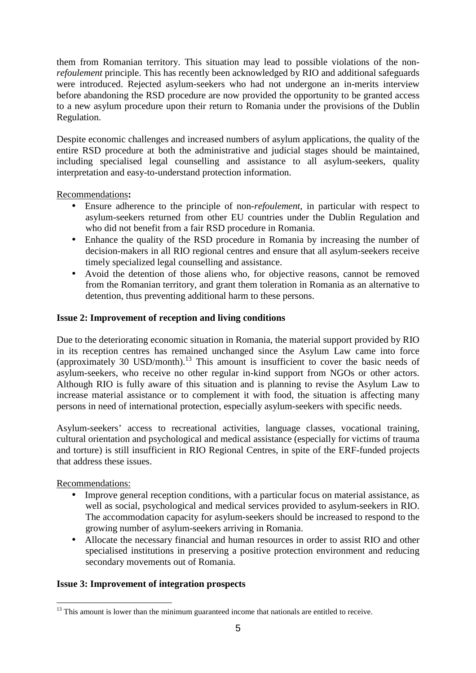them from Romanian territory. This situation may lead to possible violations of the non*refoulement* principle. This has recently been acknowledged by RIO and additional safeguards were introduced. Rejected asylum-seekers who had not undergone an in-merits interview before abandoning the RSD procedure are now provided the opportunity to be granted access to a new asylum procedure upon their return to Romania under the provisions of the Dublin Regulation.

Despite economic challenges and increased numbers of asylum applications, the quality of the entire RSD procedure at both the administrative and judicial stages should be maintained, including specialised legal counselling and assistance to all asylum-seekers, quality interpretation and easy-to-understand protection information.

Recommendations**:** 

- Ensure adherence to the principle of non-*refoulement*, in particular with respect to asylum-seekers returned from other EU countries under the Dublin Regulation and who did not benefit from a fair RSD procedure in Romania.
- Enhance the quality of the RSD procedure in Romania by increasing the number of decision-makers in all RIO regional centres and ensure that all asylum-seekers receive timely specialized legal counselling and assistance.
- Avoid the detention of those aliens who, for objective reasons, cannot be removed from the Romanian territory, and grant them toleration in Romania as an alternative to detention, thus preventing additional harm to these persons.

# **Issue 2: Improvement of reception and living conditions**

Due to the deteriorating economic situation in Romania, the material support provided by RIO in its reception centres has remained unchanged since the Asylum Law came into force (approximately 30 USD/month).<sup>13</sup> This amount is insufficient to cover the basic needs of asylum-seekers, who receive no other regular in-kind support from NGOs or other actors. Although RIO is fully aware of this situation and is planning to revise the Asylum Law to increase material assistance or to complement it with food, the situation is affecting many persons in need of international protection, especially asylum-seekers with specific needs.

Asylum-seekers' access to recreational activities, language classes, vocational training, cultural orientation and psychological and medical assistance (especially for victims of trauma and torture) is still insufficient in RIO Regional Centres, in spite of the ERF-funded projects that address these issues.

Recommendations:

- Improve general reception conditions, with a particular focus on material assistance, as well as social, psychological and medical services provided to asylum-seekers in RIO. The accommodation capacity for asylum-seekers should be increased to respond to the growing number of asylum-seekers arriving in Romania.
- Allocate the necessary financial and human resources in order to assist RIO and other specialised institutions in preserving a positive protection environment and reducing secondary movements out of Romania.

# **Issue 3: Improvement of integration prospects**

l  $13$  This amount is lower than the minimum guaranteed income that nationals are entitled to receive.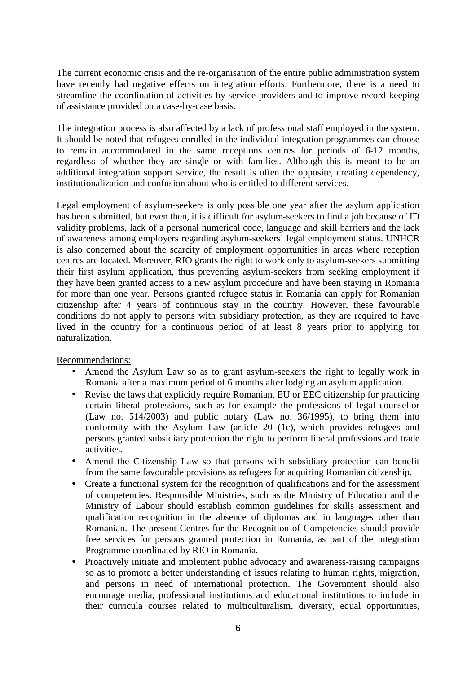The current economic crisis and the re-organisation of the entire public administration system have recently had negative effects on integration efforts. Furthermore, there is a need to streamline the coordination of activities by service providers and to improve record-keeping of assistance provided on a case-by-case basis.

The integration process is also affected by a lack of professional staff employed in the system. It should be noted that refugees enrolled in the individual integration programmes can choose to remain accommodated in the same receptions centres for periods of 6-12 months, regardless of whether they are single or with families. Although this is meant to be an additional integration support service, the result is often the opposite, creating dependency, institutionalization and confusion about who is entitled to different services.

Legal employment of asylum-seekers is only possible one year after the asylum application has been submitted, but even then, it is difficult for asylum-seekers to find a job because of ID validity problems, lack of a personal numerical code, language and skill barriers and the lack of awareness among employers regarding asylum-seekers' legal employment status. UNHCR is also concerned about the scarcity of employment opportunities in areas where reception centres are located. Moreover, RIO grants the right to work only to asylum-seekers submitting their first asylum application, thus preventing asylum-seekers from seeking employment if they have been granted access to a new asylum procedure and have been staying in Romania for more than one year. Persons granted refugee status in Romania can apply for Romanian citizenship after 4 years of continuous stay in the country. However, these favourable conditions do not apply to persons with subsidiary protection, as they are required to have lived in the country for a continuous period of at least 8 years prior to applying for naturalization.

Recommendations:

- Amend the Asylum Law so as to grant asylum-seekers the right to legally work in Romania after a maximum period of 6 months after lodging an asylum application.
- Revise the laws that explicitly require Romanian, EU or EEC citizenship for practicing certain liberal professions, such as for example the professions of legal counsellor (Law no.  $514/2003$ ) and public notary (Law no.  $36/1995$ ), to bring them into conformity with the Asylum Law (article 20 (1c), which provides refugees and persons granted subsidiary protection the right to perform liberal professions and trade activities.
- Amend the Citizenship Law so that persons with subsidiary protection can benefit from the same favourable provisions as refugees for acquiring Romanian citizenship.
- Create a functional system for the recognition of qualifications and for the assessment of competencies. Responsible Ministries, such as the Ministry of Education and the Ministry of Labour should establish common guidelines for skills assessment and qualification recognition in the absence of diplomas and in languages other than Romanian. The present Centres for the Recognition of Competencies should provide free services for persons granted protection in Romania, as part of the Integration Programme coordinated by RIO in Romania.
- Proactively initiate and implement public advocacy and awareness-raising campaigns so as to promote a better understanding of issues relating to human rights, migration, and persons in need of international protection. The Government should also encourage media, professional institutions and educational institutions to include in their curricula courses related to multiculturalism, diversity, equal opportunities,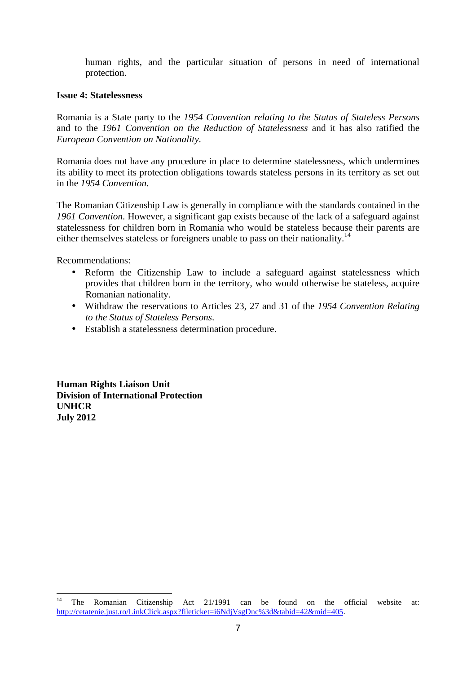human rights, and the particular situation of persons in need of international protection.

#### **Issue 4: Statelessness**

Romania is a State party to the *1954 Convention relating to the Status of Stateless Persons* and to the *1961 Convention on the Reduction of Statelessness* and it has also ratified the *European Convention on Nationality*.

Romania does not have any procedure in place to determine statelessness, which undermines its ability to meet its protection obligations towards stateless persons in its territory as set out in the *1954 Convention*.

The Romanian Citizenship Law is generally in compliance with the standards contained in the *1961 Convention*. However, a significant gap exists because of the lack of a safeguard against statelessness for children born in Romania who would be stateless because their parents are either themselves stateless or foreigners unable to pass on their nationality.<sup>14</sup>

Recommendations:

- Reform the Citizenship Law to include a safeguard against statelessness which provides that children born in the territory, who would otherwise be stateless, acquire Romanian nationality.
- Withdraw the reservations to Articles 23, 27 and 31 of the *1954 Convention Relating to the Status of Stateless Persons*.
- Establish a statelessness determination procedure.

**Human Rights Liaison Unit Division of International Protection UNHCR July 2012** 

 $14<sup>1</sup>$ <sup>14</sup> The Romanian Citizenship Act 21/1991 can be found on the official website at: http://cetatenie.just.ro/LinkClick.aspx?fileticket=i6NdjVsgDnc%3d&tabid=42&mid=405.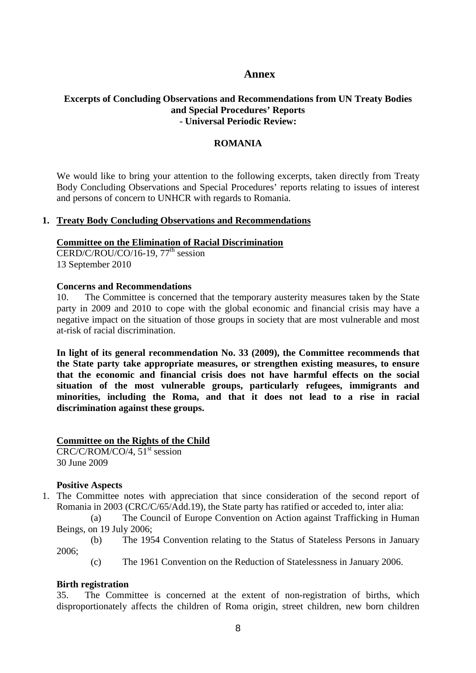### **Annex**

### **Excerpts of Concluding Observations and Recommendations from UN Treaty Bodies and Special Procedures' Reports - Universal Periodic Review:**

#### **ROMANIA**

We would like to bring your attention to the following excerpts, taken directly from Treaty Body Concluding Observations and Special Procedures' reports relating to issues of interest and persons of concern to UNHCR with regards to Romania.

#### **1. Treaty Body Concluding Observations and Recommendations**

#### **Committee on the Elimination of Racial Discrimination**

 $CERD/C/ROU/CO/16-19, 77<sup>th</sup> session$ 13 September 2010

#### **Concerns and Recommendations**

10. The Committee is concerned that the temporary austerity measures taken by the State party in 2009 and 2010 to cope with the global economic and financial crisis may have a negative impact on the situation of those groups in society that are most vulnerable and most at-risk of racial discrimination.

**In light of its general recommendation No. 33 (2009), the Committee recommends that the State party take appropriate measures, or strengthen existing measures, to ensure that the economic and financial crisis does not have harmful effects on the social situation of the most vulnerable groups, particularly refugees, immigrants and minorities, including the Roma, and that it does not lead to a rise in racial discrimination against these groups.** 

#### **Committee on the Rights of the Child**

 $CRC/C/ROM/CO/4$ , 51<sup>st</sup> session 30 June 2009

### **Positive Aspects**

1. The Committee notes with appreciation that since consideration of the second report of Romania in 2003 (CRC/C/65/Add.19), the State party has ratified or acceded to, inter alia:

(a) The Council of Europe Convention on Action against Trafficking in Human Beings, on 19 July 2006;

- (b) The 1954 Convention relating to the Status of Stateless Persons in January 2006;
	- (c) The 1961 Convention on the Reduction of Statelessness in January 2006.

#### **Birth registration**

35. The Committee is concerned at the extent of non-registration of births, which disproportionately affects the children of Roma origin, street children, new born children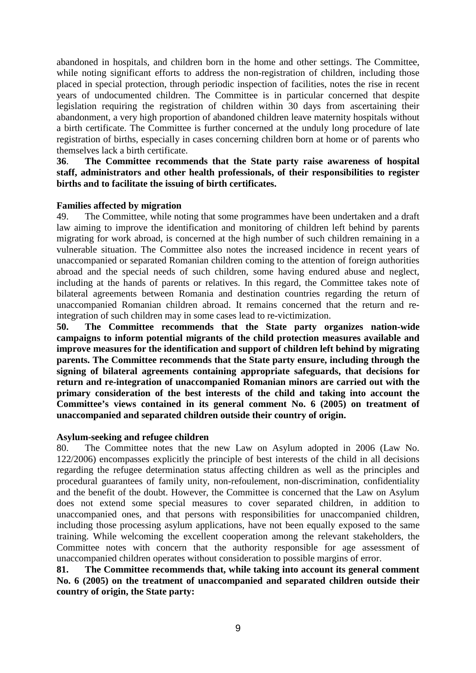abandoned in hospitals, and children born in the home and other settings. The Committee, while noting significant efforts to address the non-registration of children, including those placed in special protection, through periodic inspection of facilities, notes the rise in recent years of undocumented children. The Committee is in particular concerned that despite legislation requiring the registration of children within 30 days from ascertaining their abandonment, a very high proportion of abandoned children leave maternity hospitals without a birth certificate. The Committee is further concerned at the unduly long procedure of late registration of births, especially in cases concerning children born at home or of parents who themselves lack a birth certificate.

**36**. **The Committee recommends that the State party raise awareness of hospital staff, administrators and other health professionals, of their responsibilities to register births and to facilitate the issuing of birth certificates.** 

#### **Families affected by migration**

49. The Committee, while noting that some programmes have been undertaken and a draft law aiming to improve the identification and monitoring of children left behind by parents migrating for work abroad, is concerned at the high number of such children remaining in a vulnerable situation. The Committee also notes the increased incidence in recent years of unaccompanied or separated Romanian children coming to the attention of foreign authorities abroad and the special needs of such children, some having endured abuse and neglect, including at the hands of parents or relatives. In this regard, the Committee takes note of bilateral agreements between Romania and destination countries regarding the return of unaccompanied Romanian children abroad. It remains concerned that the return and reintegration of such children may in some cases lead to re-victimization.

**50. The Committee recommends that the State party organizes nation-wide campaigns to inform potential migrants of the child protection measures available and improve measures for the identification and support of children left behind by migrating parents. The Committee recommends that the State party ensure, including through the signing of bilateral agreements containing appropriate safeguards, that decisions for return and re-integration of unaccompanied Romanian minors are carried out with the primary consideration of the best interests of the child and taking into account the Committee's views contained in its general comment No. 6 (2005) on treatment of unaccompanied and separated children outside their country of origin.** 

#### **Asylum-seeking and refugee children**

80. The Committee notes that the new Law on Asylum adopted in 2006 (Law No. 122/2006) encompasses explicitly the principle of best interests of the child in all decisions regarding the refugee determination status affecting children as well as the principles and procedural guarantees of family unity, non-refoulement, non-discrimination, confidentiality and the benefit of the doubt. However, the Committee is concerned that the Law on Asylum does not extend some special measures to cover separated children, in addition to unaccompanied ones, and that persons with responsibilities for unaccompanied children, including those processing asylum applications, have not been equally exposed to the same training. While welcoming the excellent cooperation among the relevant stakeholders, the Committee notes with concern that the authority responsible for age assessment of unaccompanied children operates without consideration to possible margins of error.

**81. The Committee recommends that, while taking into account its general comment No. 6 (2005) on the treatment of unaccompanied and separated children outside their country of origin, the State party:**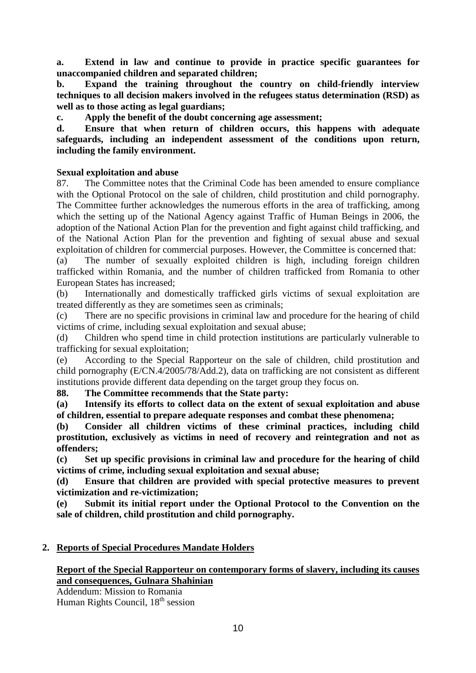**a. Extend in law and continue to provide in practice specific guarantees for unaccompanied children and separated children;** 

**b. Expand the training throughout the country on child-friendly interview techniques to all decision makers involved in the refugees status determination (RSD) as well as to those acting as legal guardians;** 

**c. Apply the benefit of the doubt concerning age assessment;** 

**d. Ensure that when return of children occurs, this happens with adequate safeguards, including an independent assessment of the conditions upon return, including the family environment.** 

# **Sexual exploitation and abuse**

87. The Committee notes that the Criminal Code has been amended to ensure compliance with the Optional Protocol on the sale of children, child prostitution and child pornography. The Committee further acknowledges the numerous efforts in the area of trafficking, among which the setting up of the National Agency against Traffic of Human Beings in 2006, the adoption of the National Action Plan for the prevention and fight against child trafficking, and of the National Action Plan for the prevention and fighting of sexual abuse and sexual exploitation of children for commercial purposes. However, the Committee is concerned that:

(a) The number of sexually exploited children is high, including foreign children trafficked within Romania, and the number of children trafficked from Romania to other European States has increased;

(b) Internationally and domestically trafficked girls victims of sexual exploitation are treated differently as they are sometimes seen as criminals;

(c) There are no specific provisions in criminal law and procedure for the hearing of child victims of crime, including sexual exploitation and sexual abuse;

(d) Children who spend time in child protection institutions are particularly vulnerable to trafficking for sexual exploitation;

(e) According to the Special Rapporteur on the sale of children, child prostitution and child pornography (E/CN.4/2005/78/Add.2), data on trafficking are not consistent as different institutions provide different data depending on the target group they focus on.

**88. The Committee recommends that the State party:** 

**(a) Intensify its efforts to collect data on the extent of sexual exploitation and abuse of children, essential to prepare adequate responses and combat these phenomena;** 

**(b) Consider all children victims of these criminal practices, including child prostitution, exclusively as victims in need of recovery and reintegration and not as offenders;** 

**(c) Set up specific provisions in criminal law and procedure for the hearing of child victims of crime, including sexual exploitation and sexual abuse;** 

**(d) Ensure that children are provided with special protective measures to prevent victimization and re-victimization;** 

**(e) Submit its initial report under the Optional Protocol to the Convention on the sale of children, child prostitution and child pornography.** 

# **2. Reports of Special Procedures Mandate Holders**

# **Report of the Special Rapporteur on contemporary forms of slavery, including its causes and consequences, Gulnara Shahinian**

Addendum: Mission to Romania Human Rights Council, 18<sup>th</sup> session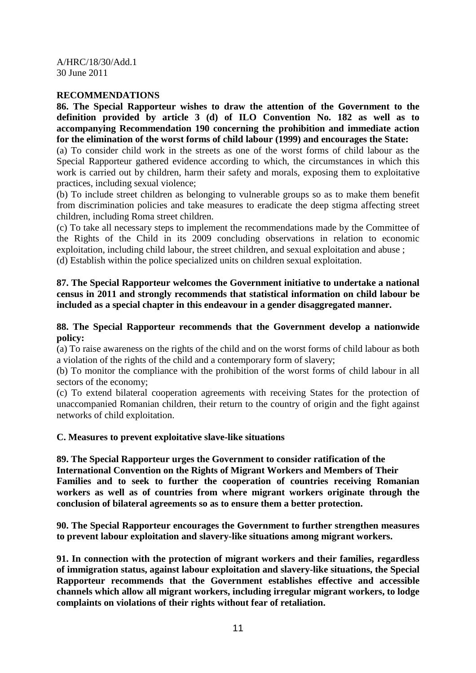A/HRC/18/30/Add.1 30 June 2011

### **RECOMMENDATIONS**

**86. The Special Rapporteur wishes to draw the attention of the Government to the definition provided by article 3 (d) of ILO Convention No. 182 as well as to accompanying Recommendation 190 concerning the prohibition and immediate action for the elimination of the worst forms of child labour (1999) and encourages the State:** 

(a) To consider child work in the streets as one of the worst forms of child labour as the Special Rapporteur gathered evidence according to which, the circumstances in which this work is carried out by children, harm their safety and morals, exposing them to exploitative practices, including sexual violence;

(b) To include street children as belonging to vulnerable groups so as to make them benefit from discrimination policies and take measures to eradicate the deep stigma affecting street children, including Roma street children.

(c) To take all necessary steps to implement the recommendations made by the Committee of the Rights of the Child in its 2009 concluding observations in relation to economic exploitation, including child labour, the street children, and sexual exploitation and abuse ; (d) Establish within the police specialized units on children sexual exploitation.

### **87. The Special Rapporteur welcomes the Government initiative to undertake a national census in 2011 and strongly recommends that statistical information on child labour be included as a special chapter in this endeavour in a gender disaggregated manner.**

### **88. The Special Rapporteur recommends that the Government develop a nationwide policy:**

(a) To raise awareness on the rights of the child and on the worst forms of child labour as both a violation of the rights of the child and a contemporary form of slavery;

(b) To monitor the compliance with the prohibition of the worst forms of child labour in all sectors of the economy;

(c) To extend bilateral cooperation agreements with receiving States for the protection of unaccompanied Romanian children, their return to the country of origin and the fight against networks of child exploitation.

#### **C. Measures to prevent exploitative slave-like situations**

**89. The Special Rapporteur urges the Government to consider ratification of the International Convention on the Rights of Migrant Workers and Members of Their Families and to seek to further the cooperation of countries receiving Romanian workers as well as of countries from where migrant workers originate through the conclusion of bilateral agreements so as to ensure them a better protection.** 

**90. The Special Rapporteur encourages the Government to further strengthen measures to prevent labour exploitation and slavery-like situations among migrant workers.** 

**91. In connection with the protection of migrant workers and their families, regardless of immigration status, against labour exploitation and slavery-like situations, the Special Rapporteur recommends that the Government establishes effective and accessible channels which allow all migrant workers, including irregular migrant workers, to lodge complaints on violations of their rights without fear of retaliation.**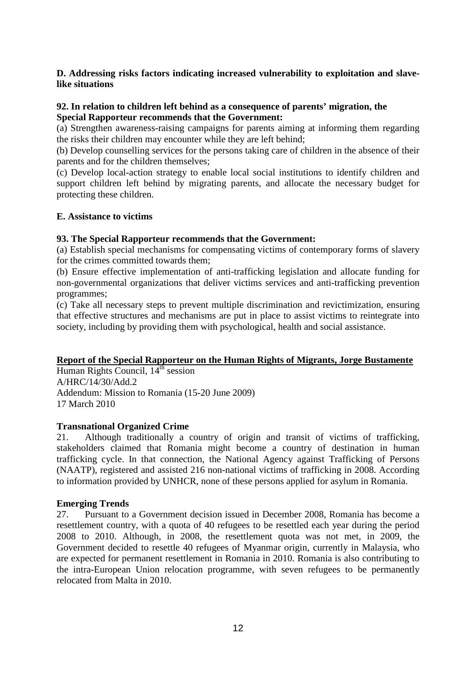### **D. Addressing risks factors indicating increased vulnerability to exploitation and slavelike situations**

### **92. In relation to children left behind as a consequence of parents' migration, the Special Rapporteur recommends that the Government:**

(a) Strengthen awareness-raising campaigns for parents aiming at informing them regarding the risks their children may encounter while they are left behind;

(b) Develop counselling services for the persons taking care of children in the absence of their parents and for the children themselves;

(c) Develop local-action strategy to enable local social institutions to identify children and support children left behind by migrating parents, and allocate the necessary budget for protecting these children.

#### **E. Assistance to victims**

### **93. The Special Rapporteur recommends that the Government:**

(a) Establish special mechanisms for compensating victims of contemporary forms of slavery for the crimes committed towards them;

(b) Ensure effective implementation of anti-trafficking legislation and allocate funding for non-governmental organizations that deliver victims services and anti-trafficking prevention programmes:

(c) Take all necessary steps to prevent multiple discrimination and revictimization, ensuring that effective structures and mechanisms are put in place to assist victims to reintegrate into society, including by providing them with psychological, health and social assistance.

#### **Report of the Special Rapporteur on the Human Rights of Migrants, Jorge Bustamente**

Human Rights Council,  $14<sup>th</sup>$  session A/HRC/14/30/Add.2 Addendum: Mission to Romania (15-20 June 2009) 17 March 2010

#### **Transnational Organized Crime**

21. Although traditionally a country of origin and transit of victims of trafficking, stakeholders claimed that Romania might become a country of destination in human trafficking cycle. In that connection, the National Agency against Trafficking of Persons (NAATP), registered and assisted 216 non-national victims of trafficking in 2008. According to information provided by UNHCR, none of these persons applied for asylum in Romania.

#### **Emerging Trends**

27. Pursuant to a Government decision issued in December 2008, Romania has become a resettlement country, with a quota of 40 refugees to be resettled each year during the period 2008 to 2010. Although, in 2008, the resettlement quota was not met, in 2009, the Government decided to resettle 40 refugees of Myanmar origin, currently in Malaysia, who are expected for permanent resettlement in Romania in 2010. Romania is also contributing to the intra-European Union relocation programme, with seven refugees to be permanently relocated from Malta in 2010.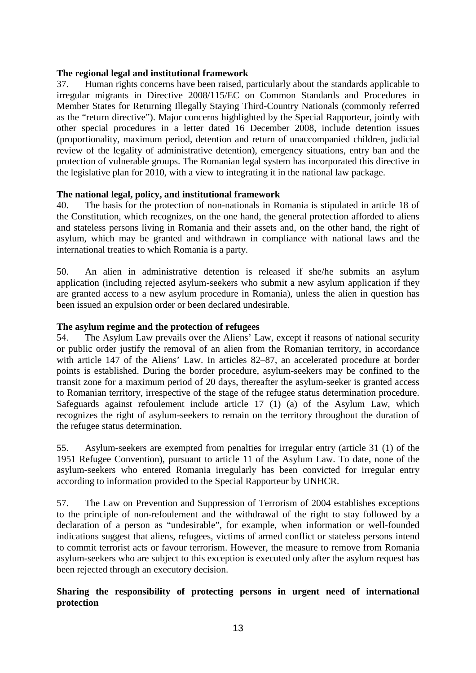### **The regional legal and institutional framework**

37. Human rights concerns have been raised, particularly about the standards applicable to irregular migrants in Directive 2008/115/EC on Common Standards and Procedures in Member States for Returning Illegally Staying Third-Country Nationals (commonly referred as the "return directive"). Major concerns highlighted by the Special Rapporteur, jointly with other special procedures in a letter dated 16 December 2008, include detention issues (proportionality, maximum period, detention and return of unaccompanied children, judicial review of the legality of administrative detention), emergency situations, entry ban and the protection of vulnerable groups. The Romanian legal system has incorporated this directive in the legislative plan for 2010, with a view to integrating it in the national law package.

### **The national legal, policy, and institutional framework**

40. The basis for the protection of non-nationals in Romania is stipulated in article 18 of the Constitution, which recognizes, on the one hand, the general protection afforded to aliens and stateless persons living in Romania and their assets and, on the other hand, the right of asylum, which may be granted and withdrawn in compliance with national laws and the international treaties to which Romania is a party.

50. An alien in administrative detention is released if she/he submits an asylum application (including rejected asylum-seekers who submit a new asylum application if they are granted access to a new asylum procedure in Romania), unless the alien in question has been issued an expulsion order or been declared undesirable.

### **The asylum regime and the protection of refugees**

54. The Asylum Law prevails over the Aliens' Law, except if reasons of national security or public order justify the removal of an alien from the Romanian territory, in accordance with article 147 of the Aliens' Law. In articles 82–87, an accelerated procedure at border points is established. During the border procedure, asylum-seekers may be confined to the transit zone for a maximum period of 20 days, thereafter the asylum-seeker is granted access to Romanian territory, irrespective of the stage of the refugee status determination procedure. Safeguards against refoulement include article 17 (1) (a) of the Asylum Law, which recognizes the right of asylum-seekers to remain on the territory throughout the duration of the refugee status determination.

55. Asylum-seekers are exempted from penalties for irregular entry (article 31 (1) of the 1951 Refugee Convention), pursuant to article 11 of the Asylum Law. To date, none of the asylum-seekers who entered Romania irregularly has been convicted for irregular entry according to information provided to the Special Rapporteur by UNHCR.

57. The Law on Prevention and Suppression of Terrorism of 2004 establishes exceptions to the principle of non-refoulement and the withdrawal of the right to stay followed by a declaration of a person as "undesirable", for example, when information or well-founded indications suggest that aliens, refugees, victims of armed conflict or stateless persons intend to commit terrorist acts or favour terrorism. However, the measure to remove from Romania asylum-seekers who are subject to this exception is executed only after the asylum request has been rejected through an executory decision.

# **Sharing the responsibility of protecting persons in urgent need of international protection**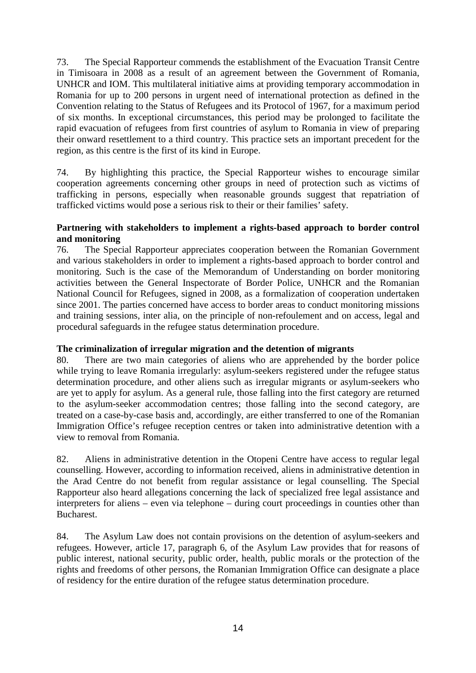73. The Special Rapporteur commends the establishment of the Evacuation Transit Centre in Timisoara in 2008 as a result of an agreement between the Government of Romania, UNHCR and IOM. This multilateral initiative aims at providing temporary accommodation in Romania for up to 200 persons in urgent need of international protection as defined in the Convention relating to the Status of Refugees and its Protocol of 1967, for a maximum period of six months. In exceptional circumstances, this period may be prolonged to facilitate the rapid evacuation of refugees from first countries of asylum to Romania in view of preparing their onward resettlement to a third country. This practice sets an important precedent for the region, as this centre is the first of its kind in Europe.

74. By highlighting this practice, the Special Rapporteur wishes to encourage similar cooperation agreements concerning other groups in need of protection such as victims of trafficking in persons, especially when reasonable grounds suggest that repatriation of trafficked victims would pose a serious risk to their or their families' safety.

### **Partnering with stakeholders to implement a rights-based approach to border control and monitoring**

76. The Special Rapporteur appreciates cooperation between the Romanian Government and various stakeholders in order to implement a rights-based approach to border control and monitoring. Such is the case of the Memorandum of Understanding on border monitoring activities between the General Inspectorate of Border Police, UNHCR and the Romanian National Council for Refugees, signed in 2008, as a formalization of cooperation undertaken since 2001. The parties concerned have access to border areas to conduct monitoring missions and training sessions, inter alia, on the principle of non-refoulement and on access, legal and procedural safeguards in the refugee status determination procedure.

# **The criminalization of irregular migration and the detention of migrants**

80. There are two main categories of aliens who are apprehended by the border police while trying to leave Romania irregularly: asylum-seekers registered under the refugee status determination procedure, and other aliens such as irregular migrants or asylum-seekers who are yet to apply for asylum. As a general rule, those falling into the first category are returned to the asylum-seeker accommodation centres; those falling into the second category, are treated on a case-by-case basis and, accordingly, are either transferred to one of the Romanian Immigration Office's refugee reception centres or taken into administrative detention with a view to removal from Romania.

82. Aliens in administrative detention in the Otopeni Centre have access to regular legal counselling. However, according to information received, aliens in administrative detention in the Arad Centre do not benefit from regular assistance or legal counselling. The Special Rapporteur also heard allegations concerning the lack of specialized free legal assistance and interpreters for aliens – even via telephone – during court proceedings in counties other than Bucharest.

84. The Asylum Law does not contain provisions on the detention of asylum-seekers and refugees. However, article 17, paragraph 6, of the Asylum Law provides that for reasons of public interest, national security, public order, health, public morals or the protection of the rights and freedoms of other persons, the Romanian Immigration Office can designate a place of residency for the entire duration of the refugee status determination procedure.